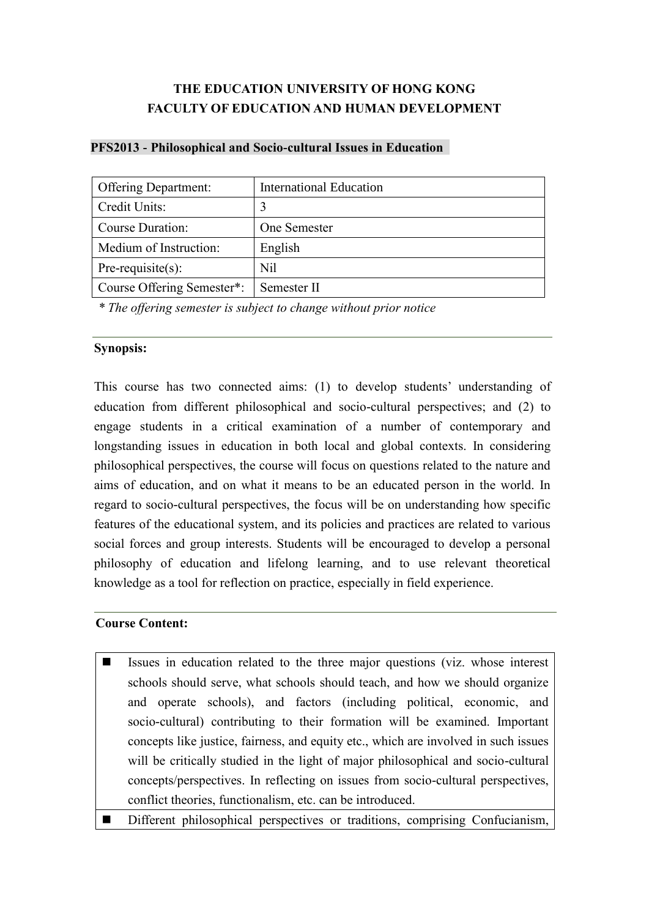# **THE EDUCATION UNIVERSITY OF HONG KONG FACULTY OF EDUCATION AND HUMAN DEVELOPMENT**

| <b>Offering Department:</b> | <b>International Education</b> |
|-----------------------------|--------------------------------|
| Credit Units:               | 3                              |
| <b>Course Duration:</b>     | One Semester                   |
| Medium of Instruction:      | English                        |
| $Pre-requisite(s)$ :        | Nil                            |
| Course Offering Semester*:  | Semester II                    |

#### **PFS2013 - Philosophical and Socio-cultural Issues in Education**

*\* The offering semester is subject to change without prior notice*

#### **Synopsis:**

This course has two connected aims: (1) to develop students' understanding of education from different philosophical and socio-cultural perspectives; and (2) to engage students in a critical examination of a number of contemporary and longstanding issues in education in both local and global contexts. In considering philosophical perspectives, the course will focus on questions related to the nature and aims of education, and on what it means to be an educated person in the world. In regard to socio-cultural perspectives, the focus will be on understanding how specific features of the educational system, and its policies and practices are related to various social forces and group interests. Students will be encouraged to develop a personal philosophy of education and lifelong learning, and to use relevant theoretical knowledge as a tool for reflection on practice, especially in field experience.

### **Course Content:**

- Issues in education related to the three major questions (viz. whose interest schools should serve, what schools should teach, and how we should organize and operate schools), and factors (including political, economic, and socio-cultural) contributing to their formation will be examined. Important concepts like justice, fairness, and equity etc., which are involved in such issues will be critically studied in the light of major philosophical and socio-cultural concepts/perspectives. In reflecting on issues from socio-cultural perspectives, conflict theories, functionalism, etc. can be introduced.
- Different philosophical perspectives or traditions, comprising Confucianism,